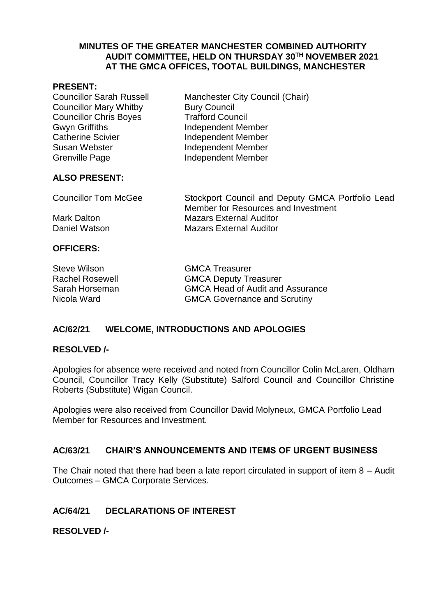#### **MINUTES OF THE GREATER MANCHESTER COMBINED AUTHORITY AUDIT COMMITTEE, HELD ON THURSDAY 30TH NOVEMBER 2021 AT THE GMCA OFFICES, TOOTAL BUILDINGS, MANCHESTER**

#### **PRESENT:**

| <b>Councillor Sarah Russell</b> | Manchester City Council (Chair) |
|---------------------------------|---------------------------------|
| <b>Councillor Mary Whitby</b>   | <b>Bury Council</b>             |
| <b>Councillor Chris Boyes</b>   | <b>Trafford Council</b>         |
| <b>Gwyn Griffiths</b>           | <b>Independent Member</b>       |
| <b>Catherine Scivier</b>        | <b>Independent Member</b>       |
| Susan Webster                   | <b>Independent Member</b>       |
| <b>Grenville Page</b>           | Independent Member              |
|                                 |                                 |

### **ALSO PRESENT:**

| <b>Councillor Tom McGee</b> | Stockport Council and Deputy GMCA Portfolio Lead<br>Member for Resources and Investment |
|-----------------------------|-----------------------------------------------------------------------------------------|
| Mark Dalton                 | <b>Mazars External Auditor</b>                                                          |
| Daniel Watson               | <b>Mazars External Auditor</b>                                                          |

#### **OFFICERS:**

Steve Wilson GMCA Treasurer Rachel Rosewell **GMCA Deputy Treasurer** Sarah Horseman GMCA Head of Audit and Assurance Nicola Ward **GMCA** Governance and Scrutiny

### **AC/62/21 WELCOME, INTRODUCTIONS AND APOLOGIES**

#### **RESOLVED /-**

Apologies for absence were received and noted from Councillor Colin McLaren, Oldham Council, Councillor Tracy Kelly (Substitute) Salford Council and Councillor Christine Roberts (Substitute) Wigan Council.

Apologies were also received from Councillor David Molyneux, GMCA Portfolio Lead Member for Resources and Investment.

#### **AC/63/21 CHAIR'S ANNOUNCEMENTS AND ITEMS OF URGENT BUSINESS**

The Chair noted that there had been a late report circulated in support of item 8 – Audit Outcomes – GMCA Corporate Services.

### **AC/64/21 DECLARATIONS OF INTEREST**

#### **RESOLVED /-**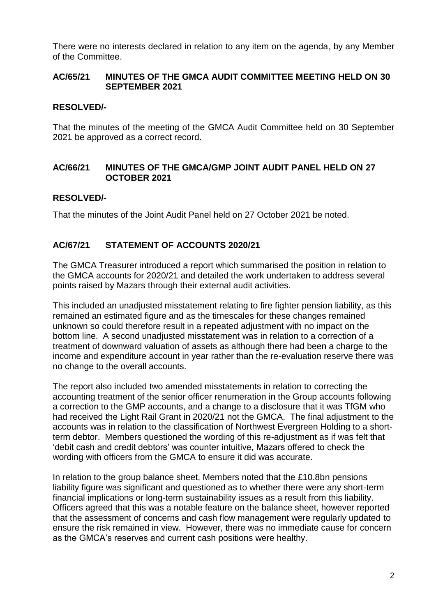There were no interests declared in relation to any item on the agenda, by any Member of the Committee.

#### **AC/65/21 MINUTES OF THE GMCA AUDIT COMMITTEE MEETING HELD ON 30 SEPTEMBER 2021**

#### **RESOLVED/-**

That the minutes of the meeting of the GMCA Audit Committee held on 30 September 2021 be approved as a correct record.

#### **AC/66/21 MINUTES OF THE GMCA/GMP JOINT AUDIT PANEL HELD ON 27 OCTOBER 2021**

#### **RESOLVED/-**

That the minutes of the Joint Audit Panel held on 27 October 2021 be noted.

### **AC/67/21 STATEMENT OF ACCOUNTS 2020/21**

The GMCA Treasurer introduced a report which summarised the position in relation to the GMCA accounts for 2020/21 and detailed the work undertaken to address several points raised by Mazars through their external audit activities.

This included an unadjusted misstatement relating to fire fighter pension liability, as this remained an estimated figure and as the timescales for these changes remained unknown so could therefore result in a repeated adjustment with no impact on the bottom line. A second unadjusted misstatement was in relation to a correction of a treatment of downward valuation of assets as although there had been a charge to the income and expenditure account in year rather than the re-evaluation reserve there was no change to the overall accounts.

The report also included two amended misstatements in relation to correcting the accounting treatment of the senior officer renumeration in the Group accounts following a correction to the GMP accounts, and a change to a disclosure that it was TfGM who had received the Light Rail Grant in 2020/21 not the GMCA. The final adjustment to the accounts was in relation to the classification of Northwest Evergreen Holding to a shortterm debtor. Members questioned the wording of this re-adjustment as if was felt that 'debit cash and credit debtors' was counter intuitive, Mazars offered to check the wording with officers from the GMCA to ensure it did was accurate.

In relation to the group balance sheet, Members noted that the £10.8bn pensions liability figure was significant and questioned as to whether there were any short-term financial implications or long-term sustainability issues as a result from this liability. Officers agreed that this was a notable feature on the balance sheet, however reported that the assessment of concerns and cash flow management were regularly updated to ensure the risk remained in view. However, there was no immediate cause for concern as the GMCA's reserves and current cash positions were healthy.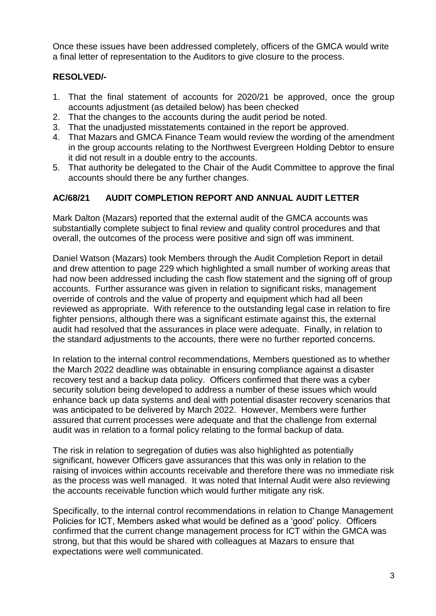Once these issues have been addressed completely, officers of the GMCA would write a final letter of representation to the Auditors to give closure to the process.

# **RESOLVED/-**

- 1. That the final statement of accounts for 2020/21 be approved, once the group accounts adjustment (as detailed below) has been checked
- 2. That the changes to the accounts during the audit period be noted.
- 3. That the unadjusted misstatements contained in the report be approved.
- 4. That Mazars and GMCA Finance Team would review the wording of the amendment in the group accounts relating to the Northwest Evergreen Holding Debtor to ensure it did not result in a double entry to the accounts.
- 5. That authority be delegated to the Chair of the Audit Committee to approve the final accounts should there be any further changes.

# **AC/68/21 AUDIT COMPLETION REPORT AND ANNUAL AUDIT LETTER**

Mark Dalton (Mazars) reported that the external audit of the GMCA accounts was substantially complete subject to final review and quality control procedures and that overall, the outcomes of the process were positive and sign off was imminent.

Daniel Watson (Mazars) took Members through the Audit Completion Report in detail and drew attention to page 229 which highlighted a small number of working areas that had now been addressed including the cash flow statement and the signing off of group accounts. Further assurance was given in relation to significant risks, management override of controls and the value of property and equipment which had all been reviewed as appropriate. With reference to the outstanding legal case in relation to fire fighter pensions, although there was a significant estimate against this, the external audit had resolved that the assurances in place were adequate. Finally, in relation to the standard adjustments to the accounts, there were no further reported concerns.

In relation to the internal control recommendations, Members questioned as to whether the March 2022 deadline was obtainable in ensuring compliance against a disaster recovery test and a backup data policy. Officers confirmed that there was a cyber security solution being developed to address a number of these issues which would enhance back up data systems and deal with potential disaster recovery scenarios that was anticipated to be delivered by March 2022. However, Members were further assured that current processes were adequate and that the challenge from external audit was in relation to a formal policy relating to the formal backup of data.

The risk in relation to segregation of duties was also highlighted as potentially significant, however Officers gave assurances that this was only in relation to the raising of invoices within accounts receivable and therefore there was no immediate risk as the process was well managed. It was noted that Internal Audit were also reviewing the accounts receivable function which would further mitigate any risk.

Specifically, to the internal control recommendations in relation to Change Management Policies for ICT, Members asked what would be defined as a 'good' policy. Officers confirmed that the current change management process for ICT within the GMCA was strong, but that this would be shared with colleagues at Mazars to ensure that expectations were well communicated.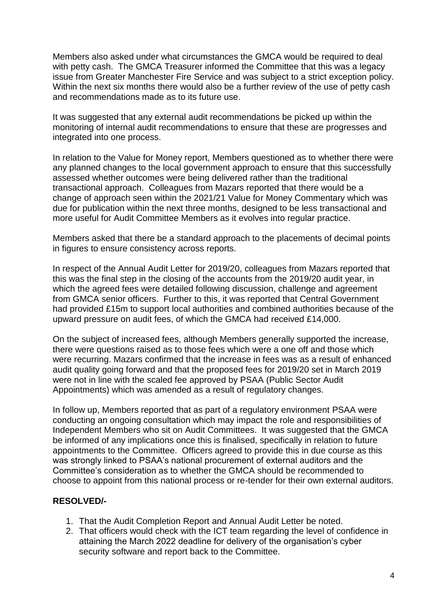Members also asked under what circumstances the GMCA would be required to deal with petty cash. The GMCA Treasurer informed the Committee that this was a legacy issue from Greater Manchester Fire Service and was subject to a strict exception policy. Within the next six months there would also be a further review of the use of petty cash and recommendations made as to its future use.

It was suggested that any external audit recommendations be picked up within the monitoring of internal audit recommendations to ensure that these are progresses and integrated into one process.

In relation to the Value for Money report, Members questioned as to whether there were any planned changes to the local government approach to ensure that this successfully assessed whether outcomes were being delivered rather than the traditional transactional approach. Colleagues from Mazars reported that there would be a change of approach seen within the 2021/21 Value for Money Commentary which was due for publication within the next three months, designed to be less transactional and more useful for Audit Committee Members as it evolves into regular practice.

Members asked that there be a standard approach to the placements of decimal points in figures to ensure consistency across reports.

In respect of the Annual Audit Letter for 2019/20, colleagues from Mazars reported that this was the final step in the closing of the accounts from the 2019/20 audit year, in which the agreed fees were detailed following discussion, challenge and agreement from GMCA senior officers. Further to this, it was reported that Central Government had provided £15m to support local authorities and combined authorities because of the upward pressure on audit fees, of which the GMCA had received £14,000.

On the subject of increased fees, although Members generally supported the increase, there were questions raised as to those fees which were a one off and those which were recurring. Mazars confirmed that the increase in fees was as a result of enhanced audit quality going forward and that the proposed fees for 2019/20 set in March 2019 were not in line with the scaled fee approved by PSAA (Public Sector Audit Appointments) which was amended as a result of regulatory changes.

In follow up, Members reported that as part of a regulatory environment PSAA were conducting an ongoing consultation which may impact the role and responsibilities of Independent Members who sit on Audit Committees. It was suggested that the GMCA be informed of any implications once this is finalised, specifically in relation to future appointments to the Committee. Officers agreed to provide this in due course as this was strongly linked to PSAA's national procurement of external auditors and the Committee's consideration as to whether the GMCA should be recommended to choose to appoint from this national process or re-tender for their own external auditors.

### **RESOLVED/-**

- 1. That the Audit Completion Report and Annual Audit Letter be noted.
- 2. That officers would check with the ICT team regarding the level of confidence in attaining the March 2022 deadline for delivery of the organisation's cyber security software and report back to the Committee.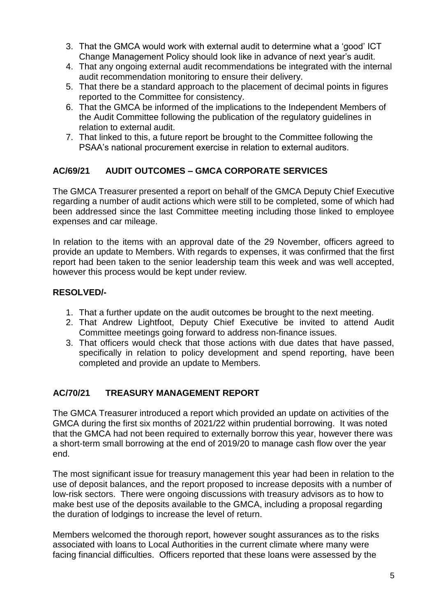- 3. That the GMCA would work with external audit to determine what a 'good' ICT Change Management Policy should look like in advance of next year's audit.
- 4. That any ongoing external audit recommendations be integrated with the internal audit recommendation monitoring to ensure their delivery.
- 5. That there be a standard approach to the placement of decimal points in figures reported to the Committee for consistency.
- 6. That the GMCA be informed of the implications to the Independent Members of the Audit Committee following the publication of the regulatory guidelines in relation to external audit.
- 7. That linked to this, a future report be brought to the Committee following the PSAA's national procurement exercise in relation to external auditors.

# **AC/69/21 AUDIT OUTCOMES – GMCA CORPORATE SERVICES**

The GMCA Treasurer presented a report on behalf of the GMCA Deputy Chief Executive regarding a number of audit actions which were still to be completed, some of which had been addressed since the last Committee meeting including those linked to employee expenses and car mileage.

In relation to the items with an approval date of the 29 November, officers agreed to provide an update to Members. With regards to expenses, it was confirmed that the first report had been taken to the senior leadership team this week and was well accepted, however this process would be kept under review.

## **RESOLVED/-**

- 1. That a further update on the audit outcomes be brought to the next meeting.
- 2. That Andrew Lightfoot, Deputy Chief Executive be invited to attend Audit Committee meetings going forward to address non-finance issues.
- 3. That officers would check that those actions with due dates that have passed, specifically in relation to policy development and spend reporting, have been completed and provide an update to Members.

### **AC/70/21 TREASURY MANAGEMENT REPORT**

The GMCA Treasurer introduced a report which provided an update on activities of the GMCA during the first six months of 2021/22 within prudential borrowing. It was noted that the GMCA had not been required to externally borrow this year, however there was a short-term small borrowing at the end of 2019/20 to manage cash flow over the year end.

The most significant issue for treasury management this year had been in relation to the use of deposit balances, and the report proposed to increase deposits with a number of low-risk sectors. There were ongoing discussions with treasury advisors as to how to make best use of the deposits available to the GMCA, including a proposal regarding the duration of lodgings to increase the level of return.

Members welcomed the thorough report, however sought assurances as to the risks associated with loans to Local Authorities in the current climate where many were facing financial difficulties. Officers reported that these loans were assessed by the